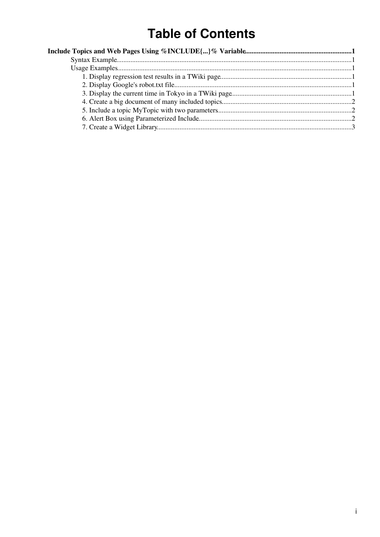# **Table of Contents**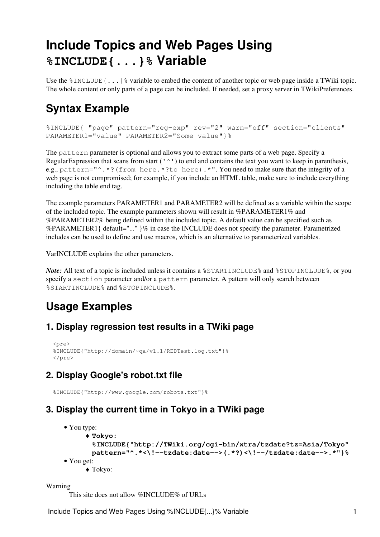# <span id="page-1-0"></span>**Include Topics and Web Pages Using %INCLUDE{...}% Variable**

Use the  $\text{\$INCLUDE}$  {...}  $\text{\$ variable to embed the content of another topic or web page inside a TWiki topic.}$ The whole content or only parts of a page can be included. If needed, set a proxy server in [TWikiPreferences](https://wiki-igi.cnaf.infn.it/twiki/bin/view/TWiki/TWikiPreferences).

## <span id="page-1-1"></span>**Syntax Example**

```
%INCLUDE{ "page" pattern="reg-exp" rev="2" warn="off" section="clients"
PARAMETER1="value" PARAMETER2="Some value"}%
```
The pattern parameter is optional and allows you to extract some parts of a web page. Specify a [RegularExpression](https://wiki-igi.cnaf.infn.it/twiki/bin/view/TWiki/RegularExpression) that scans from start  $(1 \wedge 1)$  to end and contains the text you want to keep in parenthesis, e.g., pattern="^.\*?(from here.\*?to here).\*". You need to make sure that the integrity of a web page is not compromised; for example, if you include an HTML table, make sure to include everything including the table end tag.

The example parameters PARAMETER1 and PARAMETER2 will be defined as a variable within the scope of the included topic. The example parameters shown will result in %PARAMETER1% and %PARAMETER2% being defined within the included topic. A default value can be specified such as %PARAMETER1{ default="..." }% in case the INCLUDE does not specify the parameter. Parametrized includes can be used to define and use macros, which is an alternative to [parameterized variables](https://wiki-igi.cnaf.infn.it/twiki/bin/view/TWiki/ParameterizedVariables).

[VarINCLUDE](https://wiki-igi.cnaf.infn.it/twiki/bin/view/TWiki/VarINCLUDE) explains the other parameters.

*Note:* All text of a topic is included unless it contains a %STARTINCLUDE% and %STOPINCLUDE%, or you specify a section parameter and/or a pattern parameter. A pattern will only search between %STARTINCLUDE% and %STOPINCLUDE%.

## <span id="page-1-2"></span>**Usage Examples**

#### <span id="page-1-3"></span>**1. Display regression test results in a TWiki page**

```
 <pre>
 %INCLUDE{"http://domain/~qa/v1.1/REDTest.log.txt"}%
 </pre>
```
## <span id="page-1-4"></span>**2. Display Google's robot.txt file**

%INCLUDE{"http://www.google.com/robots.txt"}%

### <span id="page-1-5"></span>**3. Display the current time in Tokyo in a TWiki page**

```
• You type:
     Tokyo:
♦ 
       %INCLUDE{"http://TWiki.org/cgi-bin/xtra/tzdate?tz=Asia/Tokyo"
      pattern="^.*<\!--tzdate:date-->(.*?)<\!--/tzdate:date-->.*"}%
• You get:
     ♦ Tokyo:
```
Warning

This site does not allow %INCLUDE% of URLs

Include Topics and Web Pages Using %INCLUDE{...}% Variable 1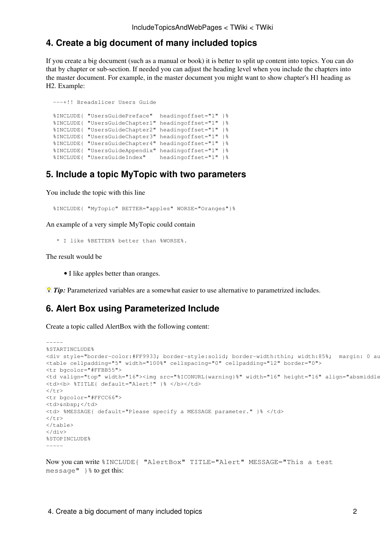#### <span id="page-2-0"></span>**4. Create a big document of many included topics**

If you create a big document (such as a manual or book) it is better to split up content into topics. You can do that by chapter or sub-section. If needed you can adjust the heading level when you include the chapters into the master document. For example, in the master document you might want to show chapter's H1 heading as H2. Example:

```
 ---+!! Breadslicer Users Guide
 %INCLUDE{ "UsersGuidePreface" headingoffset="1" }%
 %INCLUDE{ "UsersGuideChapter1" headingoffset="1" }%
 %INCLUDE{ "UsersGuideChapter2" headingoffset="1" }%
 %INCLUDE{ "UsersGuideChapter3" headingoffset="1" }%
 %INCLUDE{ "UsersGuideChapter4" headingoffset="1" }%
 %INCLUDE{ "UsersGuideAppendix" headingoffset="1" }%
 %INCLUDE{ "UsersGuideIndex" headingoffset="1" }%
```
#### <span id="page-2-1"></span>**5. Include a topic MyTopic with two parameters**

You include the topic with this line

%INCLUDE{ "MyTopic" BETTER="apples" WORSE="Oranges"}%

An example of a very simple MyTopic could contain

\* I like %BETTER% better than %WORSE%.

The result would be

• I like apples better than oranges.

*Tip:* [Parameterized variables](https://wiki-igi.cnaf.infn.it/twiki/bin/view/TWiki/ParameterizedVariables) are a somewhat easier to use alternative to parametrized includes.

#### <span id="page-2-2"></span>**6. Alert Box using Parameterized Include**

Create a topic called AlertBox with the following content:

```
-----
%STARTINCLUDE%
<div style="border-color:#FF9933; border-style:solid; border-width:thin; width:85%; margin: 0 auto">
<table cellpadding="5" width="100%" cellspacing="0" cellpadding="12" border="0">
<tr bgcolor="#FFBB55">
<td valign="top" width="16"><img src="%ICONURL{warning}%" width="16" height="16" align="absmiddle
<td><b> %TITLE{ default="Alert!" }% </b></td>
\langle/tr>
<tr bgcolor="#FFCC66">
<td>&nbsp;</td>
<td> %MESSAGE{ default="Please specify a MESSAGE parameter." }% </td>
\langletr>
\langle/table>
\langle/div>
%STOPINCLUDE%
-----
```
Now you can write %INCLUDE{ "AlertBox" TITLE="Alert" MESSAGE="This a test message"  $\}$  & to get this: